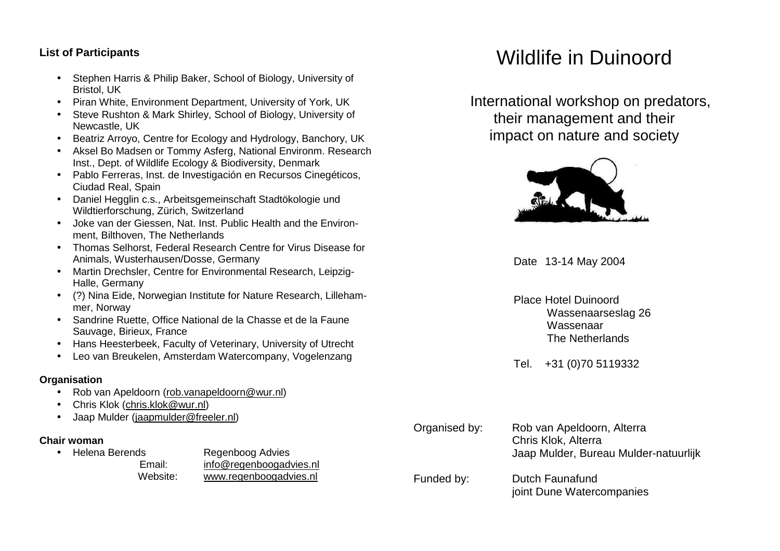## **List of Participants**

- Stephen Harris & Philip Baker, School of Biology, University of Bristol, UK
- Piran White, Environment Department, University of York, UK
- Steve Rushton & Mark Shirley, School of Biology, University of Newcastle, UK
- Beatriz Arroyo, Centre for Ecology and Hydrology, Banchory, UK
- Aksel Bo Madsen or Tommy Asferg, National Environm. Research Inst., Dept. of Wildlife Ecology & Biodiversity, Denmark
- Pablo Ferreras, Inst. de Investigación en Recursos Cinegéticos, Ciudad Real, Spain
- Daniel Hegglin c.s., Arbeitsgemeinschaft Stadtökologie und Wildtierforschung, Zürich, Switzerland
- Joke van der Giessen, Nat. Inst. Public Health and the Environment, Bilthoven, The Netherlands
- Thomas Selhorst, Federal Research Centre for Virus Disease for Animals, Wusterhausen/Dosse, Germany
- Martin Drechsler, Centre for Environmental Research, Leipzig-Halle, Germany
- (?) Nina Eide, Norwegian Institute for Nature Research, Lillehammer, Norway
- Sandrine Ruette, Office National de la Chasse et de la Faune Sauvage, Birieux, France
- Hans Heesterbeek, Faculty of Veterinary, University of Utrecht
- Leo van Breukelen, Amsterdam Watercompany, Vogelenzang

## **Organisation**

- Rob van Apeldoorn (rob.vanapeldoorn@wur.nl)
- Chris Klok (chris.klok@wur.nl)
- Jaap Mulder (jaapmulder@freeler.nl)

## **Chair woman**

• Helena Berends Regenboog Advies Email: info@regenboogadvies.nl Website: www.regenboogadvies.nl

# Wildlife in Duinoord

 International workshop on predators, their management and their impact on nature and society



Date 13-14 May 2004

Place Hotel Duinoord Wassenaarseslag 26 Wassenaar The Netherlands

Tel. +31 (0)70 5119332

| Organised by: | Rob van Apeldoorn, Alterra<br>Chris Klok, Alterra<br>Jaap Mulder, Bureau Mulder-natuurlijk |
|---------------|--------------------------------------------------------------------------------------------|
| Funded by:    | Dutch Faunafund<br>joint Dune Watercompanies                                               |